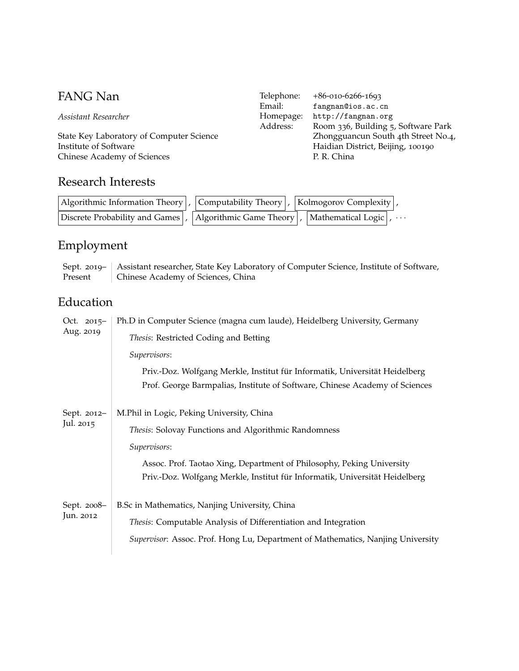*Assistant Researcher*

State Key Laboratory of Computer Science Institute of Software Chinese Academy of Sciences

# Research Interests

| Email:    | fangnan@ios.ac.cn                   |
|-----------|-------------------------------------|
| Homepage: | http://fangnan.org                  |
| Address:  | Room 336, Building 5, Software Park |
|           | Zhongguancun South 4th Street No.4, |
|           | Haidian District, Beijing, 100190   |
|           | P. R. China                         |
|           |                                     |

Telephone: +86-010-6266-1693

| Algorithmic Information Theory $\vert$ , Computability Theory $\vert$ , Kolmogorov Complexity $\vert$ , |  |  |  |
|---------------------------------------------------------------------------------------------------------|--|--|--|
| Discrete Probability and Games , Algorithmic Game Theory , Mathematical Logic                           |  |  |  |

# Employment

Sept. 2019– Present Assistant researcher, State Key Laboratory of Computer Science, Institute of Software, Chinese Academy of Sciences, China

# Education

| Oct. $2015-$<br>Aug. 2019 | Ph.D in Computer Science (magna cum laude), Heidelberg University, Germany<br>Thesis: Restricted Coding and Betting<br>Supervisors:<br>Priv.-Doz. Wolfgang Merkle, Institut für Informatik, Universität Heidelberg<br>Prof. George Barmpalias, Institute of Software, Chinese Academy of Sciences |
|---------------------------|---------------------------------------------------------------------------------------------------------------------------------------------------------------------------------------------------------------------------------------------------------------------------------------------------|
| Sept. 2012-<br>Jul. 2015  | M.Phil in Logic, Peking University, China<br>Thesis: Solovay Functions and Algorithmic Randomness<br>Supervisors:<br>Assoc. Prof. Taotao Xing, Department of Philosophy, Peking University<br>Priv.-Doz. Wolfgang Merkle, Institut für Informatik, Universität Heidelberg                         |
| Sept. 2008-<br>Jun. 2012  | B.Sc in Mathematics, Nanjing University, China<br>Thesis: Computable Analysis of Differentiation and Integration<br>Supervisor: Assoc. Prof. Hong Lu, Department of Mathematics, Nanjing University                                                                                               |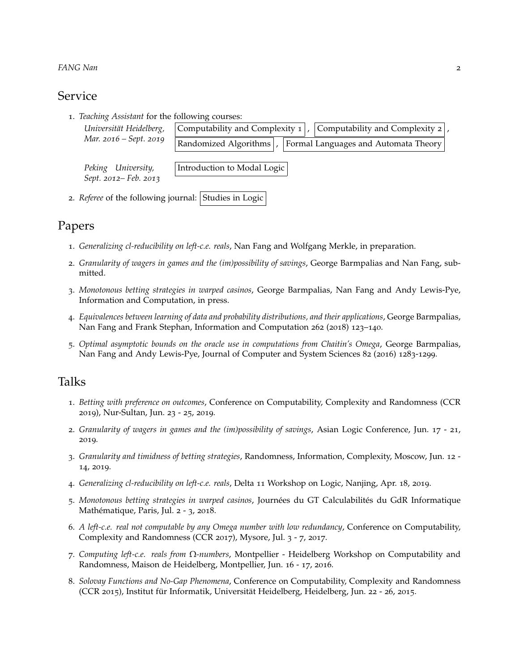#### *FANG Nan* 2

#### Service

1. *Teaching Assistant* for the following courses:

| Universität Heidelberg,                     | Computability and Complexity $1$ ,<br>  Computability and Complexity $2$  , |
|---------------------------------------------|-----------------------------------------------------------------------------|
| Mar. 2016 – Sept. 2019                      | Randomized Algorithms<br>Formal Languages and Automata Theory               |
| Peking University,<br>Sept. 2012– Feb. 2013 | Introduction to Modal Logic                                                 |

2. *Referee* of the following journal: Studies in Logic

## Papers

- 1. *Generalizing cl-reducibility on left-c.e. reals*, Nan Fang and Wolfgang Merkle, in preparation.
- 2. *Granularity of wagers in games and the (im)possibility of savings*, George Barmpalias and Nan Fang, submitted.
- 3. *Monotonous betting strategies in warped casinos*, George Barmpalias, Nan Fang and Andy Lewis-Pye, Information and Computation, in press.
- 4. *Equivalences between learning of data and probability distributions, and their applications*, George Barmpalias, Nan Fang and Frank Stephan, Information and Computation 262 (2018) 123–140.
- 5. *Optimal asymptotic bounds on the oracle use in computations from Chaitin's Omega*, George Barmpalias, Nan Fang and Andy Lewis-Pye, Journal of Computer and System Sciences 82 (2016) 1283-1299.

## Talks

- 1. *Betting with preference on outcomes*, Conference on Computability, Complexity and Randomness (CCR 2019), Nur-Sultan, Jun. 23 - 25, 2019.
- 2. *Granularity of wagers in games and the (im)possibility of savings*, Asian Logic Conference, Jun. 17 21, 2019.
- 3. *Granularity and timidness of betting strategies*, Randomness, Information, Complexity, Moscow, Jun. 12 14, 2019.
- 4. *Generalizing cl-reducibility on left-c.e. reals*, Delta 11 Workshop on Logic, Nanjing, Apr. 18, 2019.
- 5. *Monotonous betting strategies in warped casinos*, Journées du GT Calculabilités du GdR Informatique Mathématique, Paris, Jul. 2 - 3, 2018.
- 6. *A left-c.e. real not computable by any Omega number with low redundancy*, Conference on Computability, Complexity and Randomness (CCR 2017), Mysore, Jul. 3 - 7, 2017.
- 7. *Computing left-c.e. reals from* Ω*-numbers*, Montpellier Heidelberg Workshop on Computability and Randomness, Maison de Heidelberg, Montpellier, Jun. 16 - 17, 2016.
- 8. *Solovay Functions and No-Gap Phenomena*, Conference on Computability, Complexity and Randomness (CCR 2015), Institut für Informatik, Universität Heidelberg, Heidelberg, Jun. 22 - 26, 2015.